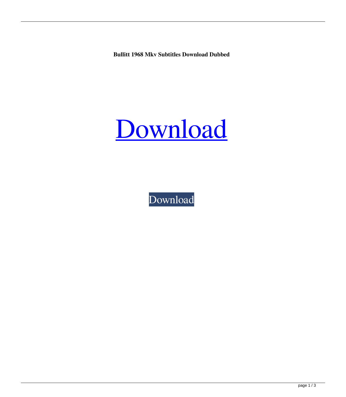**Bullitt 1968 Mkv Subtitles Download Dubbed**



[Download](http://evacdir.com/analogical/QnVsbGl0dCAxOTY4IDEwODBwIEJsdXJheSB4MjY0IER1YWwgRHVibGFkbyBta3ZCdWxsaXR0IDE5NjggMTA4MHAgQmx1cmF5IHgyNjQgRHVhbCBEdWJsYWRvIG1rdgQnV/maser.australasia.hadn.herbed.ZG93bmxvYWR8cno0TW1kcWNueDhNVFkxTWpjME1EZzJObng4TWpVM05IeDhLRTBwSUhKbFlXUXRZbXh2WnlCYlJtRnpkQ0JIUlU1ZA/odphp.pcmark)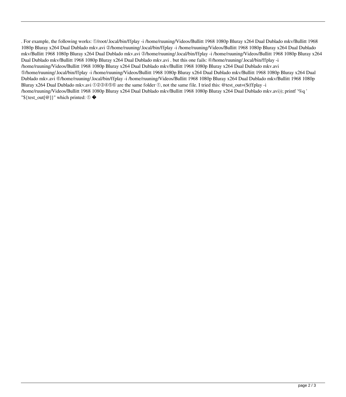. For example, the following works: ①/root/.local/bin/ffplay -i /home/ruuning/Videos/Bullitt 1968 1080p Bluray x264 Dual Dublado mkv/Bullitt 1968 1080p Bluray x264 Dual Dublado mkv.avi ②/home/ruuning/.local/bin/ffplay -i /home/ruuning/Videos/Bullitt 1968 1080p Bluray x264 Dual Dublado mkv/Bullitt 1968 1080p Bluray x264 Dual Dublado mkv.avi ③/home/ruuning/.local/bin/ffplay -i /home/ruuning/Videos/Bullitt 1968 1080p Bluray x264 Dual Dublado mkv/Bullitt 1968 1080p Bluray x264 Dual Dublado mkv.avi . but this one fails: ④/home/ruuning/.local/bin/ffplay -i /home/ruuning/Videos/Bullitt 1968 1080p Bluray x264 Dual Dublado mkv/Bullitt 1968 1080p Bluray x264 Dual Dublado mkv.avi ⑤/home/ruuning/.local/bin/ffplay -i /home/ruuning/Videos/Bullitt 1968 1080p Bluray x264 Dual Dublado mkv/Bullitt 1968 1080p Bluray x264 Dual Dublado mkv.avi ⑥/home/ruuning/.local/bin/ffplay -i /home/ruuning/Videos/Bullitt 1968 1080p Bluray x264 Dual Dublado mkv/Bullitt 1968 1080p Bluray x264 Dual Dublado mkv.avi ①②③④⑤⑥ are the same folder ①, not the same file. I tried this: @test\_out=(\$(ffplay -i /home/ruuning/Videos/Bullitt 1968 1080p Bluray x264 Dual Dublado mkv/Bullitt 1968 1080p Bluray x264 Dual Dublado mkv.avi)); printf '%q ' "\${test\_out[@]}" which printed:  $\mathcal{D}$   $\blacklozenge$